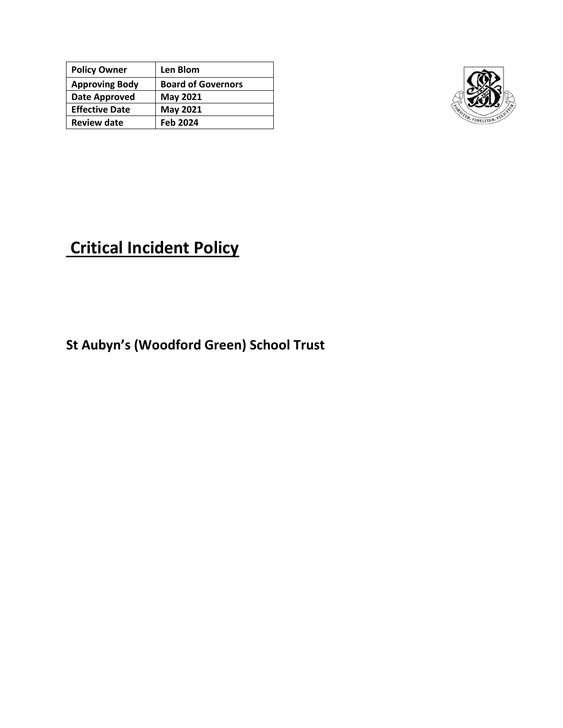| <b>Policy Owner</b>   | Len Blom                  |
|-----------------------|---------------------------|
| <b>Approving Body</b> | <b>Board of Governors</b> |
| Date Approved         | <b>May 2021</b>           |
| <b>Effective Date</b> | <b>May 2021</b>           |
| <b>Review date</b>    | <b>Feb 2024</b>           |



# **Critical Incident Policy**

**St Aubyn's (Woodford Green) School Trust**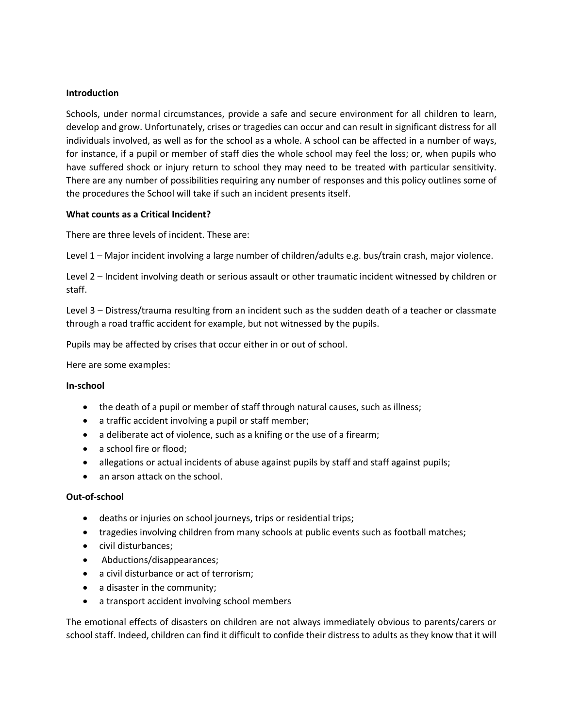# **Introduction**

Schools, under normal circumstances, provide a safe and secure environment for all children to learn, develop and grow. Unfortunately, crises or tragedies can occur and can result in significant distress for all individuals involved, as well as for the school as a whole. A school can be affected in a number of ways, for instance, if a pupil or member of staff dies the whole school may feel the loss; or, when pupils who have suffered shock or injury return to school they may need to be treated with particular sensitivity. There are any number of possibilities requiring any number of responses and this policy outlines some of the procedures the School will take if such an incident presents itself.

#### **What counts as a Critical Incident?**

There are three levels of incident. These are:

Level 1 – Major incident involving a large number of children/adults e.g. bus/train crash, major violence.

Level 2 – Incident involving death or serious assault or other traumatic incident witnessed by children or staff.

Level 3 – Distress/trauma resulting from an incident such as the sudden death of a teacher or classmate through a road traffic accident for example, but not witnessed by the pupils.

Pupils may be affected by crises that occur either in or out of school.

Here are some examples:

#### **In-school**

- the death of a pupil or member of staff through natural causes, such as illness;
- a traffic accident involving a pupil or staff member;
- a deliberate act of violence, such as a knifing or the use of a firearm;
- a school fire or flood;
- allegations or actual incidents of abuse against pupils by staff and staff against pupils;
- an arson attack on the school.

#### **Out-of-school**

- deaths or injuries on school journeys, trips or residential trips;
- tragedies involving children from many schools at public events such as football matches;
- civil disturbances;
- Abductions/disappearances;
- a civil disturbance or act of terrorism;
- a disaster in the community;
- a transport accident involving school members

The emotional effects of disasters on children are not always immediately obvious to parents/carers or school staff. Indeed, children can find it difficult to confide their distress to adults as they know that it will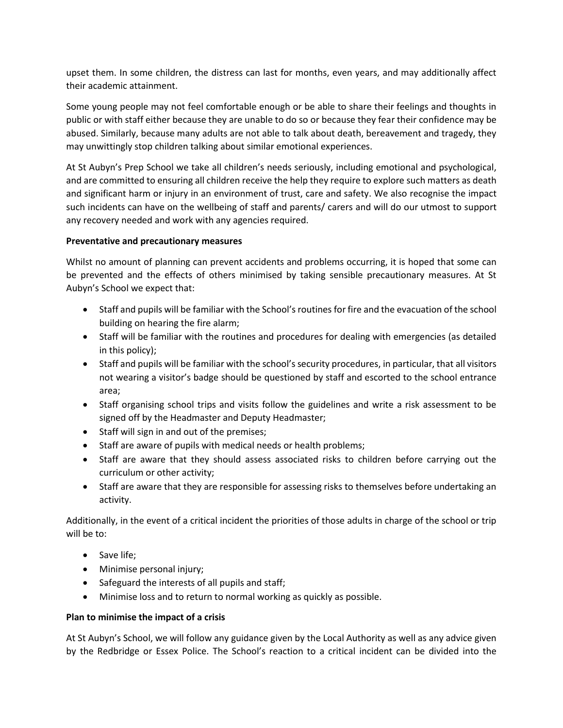upset them. In some children, the distress can last for months, even years, and may additionally affect their academic attainment.

Some young people may not feel comfortable enough or be able to share their feelings and thoughts in public or with staff either because they are unable to do so or because they fear their confidence may be abused. Similarly, because many adults are not able to talk about death, bereavement and tragedy, they may unwittingly stop children talking about similar emotional experiences.

At St Aubyn's Prep School we take all children's needs seriously, including emotional and psychological, and are committed to ensuring all children receive the help they require to explore such matters as death and significant harm or injury in an environment of trust, care and safety. We also recognise the impact such incidents can have on the wellbeing of staff and parents/ carers and will do our utmost to support any recovery needed and work with any agencies required.

# **Preventative and precautionary measures**

Whilst no amount of planning can prevent accidents and problems occurring, it is hoped that some can be prevented and the effects of others minimised by taking sensible precautionary measures. At St Aubyn's School we expect that:

- Staff and pupils will be familiar with the School's routines for fire and the evacuation of the school building on hearing the fire alarm;
- Staff will be familiar with the routines and procedures for dealing with emergencies (as detailed in this policy);
- Staff and pupils will be familiar with the school's security procedures, in particular, that all visitors not wearing a visitor's badge should be questioned by staff and escorted to the school entrance area;
- Staff organising school trips and visits follow the guidelines and write a risk assessment to be signed off by the Headmaster and Deputy Headmaster;
- Staff will sign in and out of the premises;
- Staff are aware of pupils with medical needs or health problems;
- Staff are aware that they should assess associated risks to children before carrying out the curriculum or other activity;
- Staff are aware that they are responsible for assessing risks to themselves before undertaking an activity.

Additionally, in the event of a critical incident the priorities of those adults in charge of the school or trip will be to:

- Save life;
- Minimise personal injury;
- Safeguard the interests of all pupils and staff;
- Minimise loss and to return to normal working as quickly as possible.

# **Plan to minimise the impact of a crisis**

At St Aubyn's School, we will follow any guidance given by the Local Authority as well as any advice given by the Redbridge or Essex Police. The School's reaction to a critical incident can be divided into the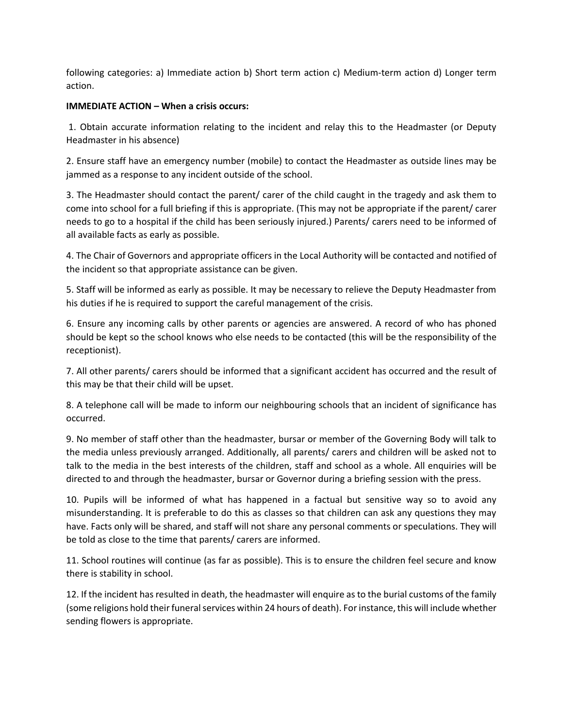following categories: a) Immediate action b) Short term action c) Medium-term action d) Longer term action.

# **IMMEDIATE ACTION – When a crisis occurs:**

1. Obtain accurate information relating to the incident and relay this to the Headmaster (or Deputy Headmaster in his absence)

2. Ensure staff have an emergency number (mobile) to contact the Headmaster as outside lines may be jammed as a response to any incident outside of the school.

3. The Headmaster should contact the parent/ carer of the child caught in the tragedy and ask them to come into school for a full briefing if this is appropriate. (This may not be appropriate if the parent/ carer needs to go to a hospital if the child has been seriously injured.) Parents/ carers need to be informed of all available facts as early as possible.

4. The Chair of Governors and appropriate officers in the Local Authority will be contacted and notified of the incident so that appropriate assistance can be given.

5. Staff will be informed as early as possible. It may be necessary to relieve the Deputy Headmaster from his duties if he is required to support the careful management of the crisis.

6. Ensure any incoming calls by other parents or agencies are answered. A record of who has phoned should be kept so the school knows who else needs to be contacted (this will be the responsibility of the receptionist).

7. All other parents/ carers should be informed that a significant accident has occurred and the result of this may be that their child will be upset.

8. A telephone call will be made to inform our neighbouring schools that an incident of significance has occurred.

9. No member of staff other than the headmaster, bursar or member of the Governing Body will talk to the media unless previously arranged. Additionally, all parents/ carers and children will be asked not to talk to the media in the best interests of the children, staff and school as a whole. All enquiries will be directed to and through the headmaster, bursar or Governor during a briefing session with the press.

10. Pupils will be informed of what has happened in a factual but sensitive way so to avoid any misunderstanding. It is preferable to do this as classes so that children can ask any questions they may have. Facts only will be shared, and staff will not share any personal comments or speculations. They will be told as close to the time that parents/ carers are informed.

11. School routines will continue (as far as possible). This is to ensure the children feel secure and know there is stability in school.

12. If the incident has resulted in death, the headmaster will enquire as to the burial customs of the family (some religions hold their funeral services within 24 hours of death). For instance, this will include whether sending flowers is appropriate.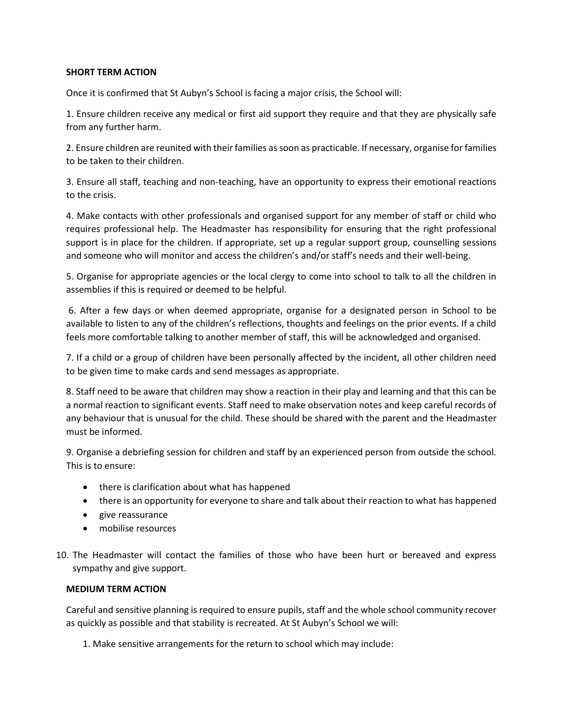# **SHORT TERM ACTION**

Once it is confirmed that St Aubyn's School is facing a major crisis, the School will:

1. Ensure children receive any medical or first aid support they require and that they are physically safe from any further harm.

2. Ensure children are reunited with their families as soon as practicable. If necessary, organise for families to be taken to their children.

3. Ensure all staff, teaching and non-teaching, have an opportunity to express their emotional reactions to the crisis.

4. Make contacts with other professionals and organised support for any member of staff or child who requires professional help. The Headmaster has responsibility for ensuring that the right professional support is in place for the children. If appropriate, set up a regular support group, counselling sessions and someone who will monitor and access the children's and/or staff's needs and their well-being.

5. Organise for appropriate agencies or the local clergy to come into school to talk to all the children in assemblies if this is required or deemed to be helpful.

6. After a few days or when deemed appropriate, organise for a designated person in School to be available to listen to any of the children's reflections, thoughts and feelings on the prior events. If a child feels more comfortable talking to another member of staff, this will be acknowledged and organised.

7. If a child or a group of children have been personally affected by the incident, all other children need to be given time to make cards and send messages as appropriate.

8. Staff need to be aware that children may show a reaction in their play and learning and that this can be a normal reaction to significant events. Staff need to make observation notes and keep careful records of any behaviour that is unusual for the child. These should be shared with the parent and the Headmaster must be informed.

9. Organise a debriefing session for children and staff by an experienced person from outside the school. This is to ensure:

- there is clarification about what has happened
- there is an opportunity for everyone to share and talk about their reaction to what has happened
- give reassurance
- mobilise resources
- 10. The Headmaster will contact the families of those who have been hurt or bereaved and express sympathy and give support.

# **MEDIUM TERM ACTION**

Careful and sensitive planning is required to ensure pupils, staff and the whole school community recover as quickly as possible and that stability is recreated. At St Aubyn's School we will:

1. Make sensitive arrangements for the return to school which may include: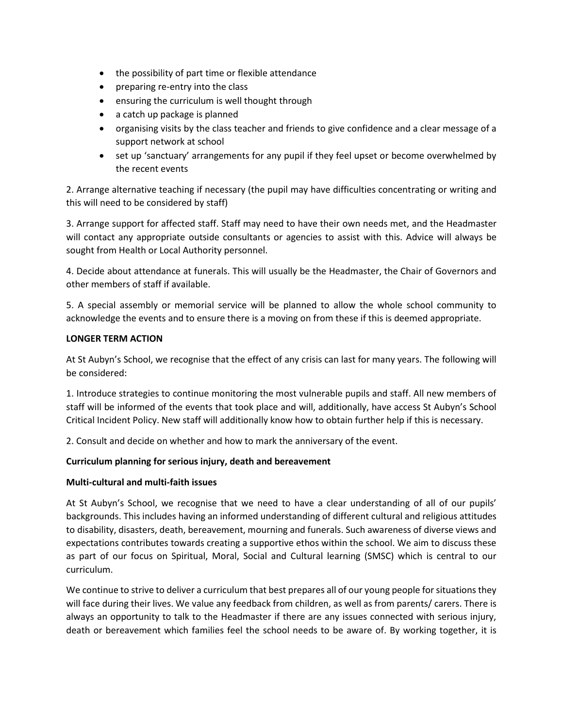- the possibility of part time or flexible attendance
- preparing re-entry into the class
- ensuring the curriculum is well thought through
- a catch up package is planned
- organising visits by the class teacher and friends to give confidence and a clear message of a support network at school
- set up 'sanctuary' arrangements for any pupil if they feel upset or become overwhelmed by the recent events

2. Arrange alternative teaching if necessary (the pupil may have difficulties concentrating or writing and this will need to be considered by staff)

3. Arrange support for affected staff. Staff may need to have their own needs met, and the Headmaster will contact any appropriate outside consultants or agencies to assist with this. Advice will always be sought from Health or Local Authority personnel.

4. Decide about attendance at funerals. This will usually be the Headmaster, the Chair of Governors and other members of staff if available.

5. A special assembly or memorial service will be planned to allow the whole school community to acknowledge the events and to ensure there is a moving on from these if this is deemed appropriate.

## **LONGER TERM ACTION**

At St Aubyn's School, we recognise that the effect of any crisis can last for many years. The following will be considered:

1. Introduce strategies to continue monitoring the most vulnerable pupils and staff. All new members of staff will be informed of the events that took place and will, additionally, have access St Aubyn's School Critical Incident Policy. New staff will additionally know how to obtain further help if this is necessary.

2. Consult and decide on whether and how to mark the anniversary of the event.

# **Curriculum planning for serious injury, death and bereavement**

# **Multi-cultural and multi-faith issues**

At St Aubyn's School, we recognise that we need to have a clear understanding of all of our pupils' backgrounds. This includes having an informed understanding of different cultural and religious attitudes to disability, disasters, death, bereavement, mourning and funerals. Such awareness of diverse views and expectations contributes towards creating a supportive ethos within the school. We aim to discuss these as part of our focus on Spiritual, Moral, Social and Cultural learning (SMSC) which is central to our curriculum.

We continue to strive to deliver a curriculum that best prepares all of our young people for situations they will face during their lives. We value any feedback from children, as well as from parents/ carers. There is always an opportunity to talk to the Headmaster if there are any issues connected with serious injury, death or bereavement which families feel the school needs to be aware of. By working together, it is